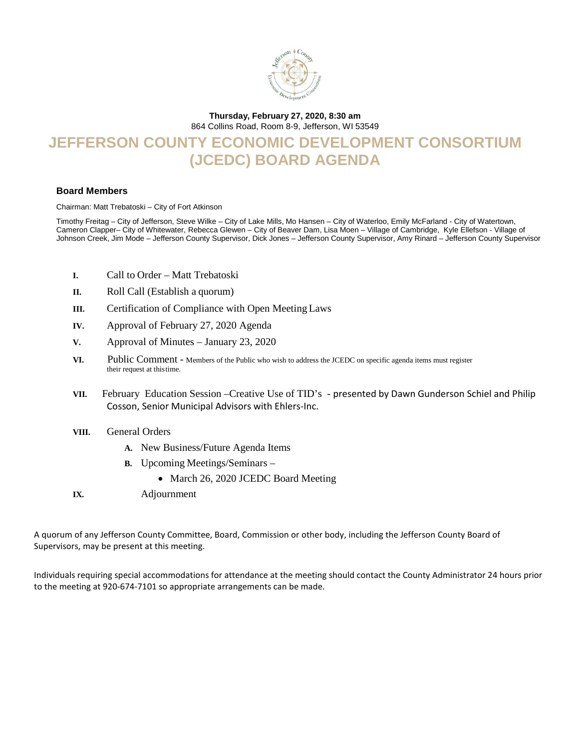

#### **Thursday, February 27, 2020, 8:30 am**

864 Collins Road, Room 8-9, Jefferson, WI 53549

# **JEFFERSON COUNTY ECONOMIC DEVELOPMENT CONSORTIUM (JCEDC) BOARD AGENDA**

#### **Board Members**

Chairman: Matt Trebatoski – City of Fort Atkinson

Timothy Freitag – City of Jefferson, Steve Wilke – City of Lake Mills, Mo Hansen – City of Waterloo, Emily McFarland - City of Watertown, Cameron Clapper– City of Whitewater, Rebecca Glewen – City of Beaver Dam, Lisa Moen – Village of Cambridge, Kyle Ellefson - Village of Johnson Creek, Jim Mode – Jefferson County Supervisor, Dick Jones – Jefferson County Supervisor, Amy Rinard – Jefferson County Supervisor

- **I.** Call to Order Matt Trebatoski
- **II.** Roll Call (Establish a quorum)
- **III.** Certification of Compliance with Open Meeting Laws
- **IV.** Approval of February 27, 2020 Agenda
- **V.** Approval of Minutes January 23, 2020
- VI. Public Comment Members of the Public who wish to address the JCEDC on specific agenda items must register their request at thistime.
- **VII.** February Education Session –Creative Use of TID's presented by Dawn Gunderson Schiel and Philip Cosson, Senior Municipal Advisors with Ehlers-Inc.
- **VIII.** General Orders
	- **A.** New Business/Future Agenda Items
	- **B.** Upcoming Meetings/Seminars
		- March 26, 2020 JCEDC Board Meeting
- **IX.** Adjournment

A quorum of any Jefferson County Committee, Board, Commission or other body, including the Jefferson County Board of Supervisors, may be present at this meeting.

Individuals requiring special accommodations for attendance at the meeting should contact the County Administrator 24 hours prior to the meeting at 920-674-7101 so appropriate arrangements can be made.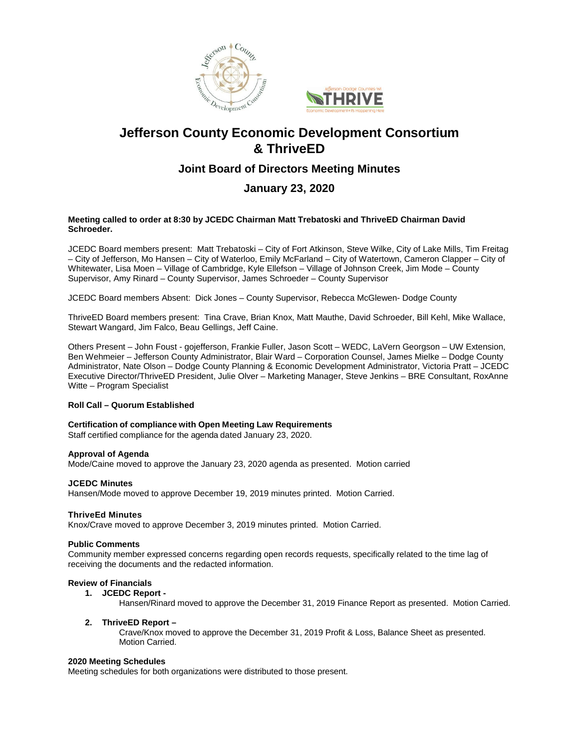



## **Jefferson County Economic Development Consortium & ThriveED**

## **Joint Board of Directors Meeting Minutes**

### **January 23, 2020**

#### **Meeting called to order at 8:30 by JCEDC Chairman Matt Trebatoski and ThriveED Chairman David Schroeder.**

JCEDC Board members present:Matt Trebatoski – City of Fort Atkinson, Steve Wilke, City of Lake Mills, Tim Freitag – City of Jefferson, Mo Hansen – City of Waterloo, Emily McFarland – City of Watertown, Cameron Clapper – City of Whitewater, Lisa Moen – Village of Cambridge, Kyle Ellefson – Village of Johnson Creek, Jim Mode – County Supervisor, Amy Rinard – County Supervisor, James Schroeder – County Supervisor

JCEDC Board members Absent: Dick Jones – County Supervisor, Rebecca McGlewen- Dodge County

ThriveED Board members present: Tina Crave, Brian Knox, Matt Mauthe, David Schroeder, Bill Kehl, Mike Wallace, Stewart Wangard, Jim Falco, Beau Gellings, Jeff Caine.

Others Present – John Foust - gojefferson, Frankie Fuller, Jason Scott – WEDC, LaVern Georgson – UW Extension, Ben Wehmeier – Jefferson County Administrator, Blair Ward – Corporation Counsel, James Mielke – Dodge County Administrator, Nate Olson – Dodge County Planning & Economic Development Administrator, Victoria Pratt – JCEDC Executive Director/ThriveED President, Julie Olver – Marketing Manager, Steve Jenkins – BRE Consultant, RoxAnne Witte – Program Specialist

#### **Roll Call – Quorum Established**

#### **Certification of compliance with Open Meeting Law Requirements**

Staff certified compliance for the agenda dated January 23, 2020.

#### **Approval of Agenda**

Mode/Caine moved to approve the January 23, 2020 agenda as presented. Motion carried

#### **JCEDC Minutes**

Hansen/Mode moved to approve December 19, 2019 minutes printed. Motion Carried.

#### **ThriveEd Minutes**

Knox/Crave moved to approve December 3, 2019 minutes printed. Motion Carried.

#### **Public Comments**

Community member expressed concerns regarding open records requests, specifically related to the time lag of receiving the documents and the redacted information.

#### **Review of Financials**

**1. JCEDC Report -**

Hansen/Rinard moved to approve the December 31, 2019 Finance Report as presented. Motion Carried.

#### **2. ThriveED Report –**

Crave/Knox moved to approve the December 31, 2019 Profit & Loss, Balance Sheet as presented. Motion Carried.

#### **2020 Meeting Schedules**

Meeting schedules for both organizations were distributed to those present.